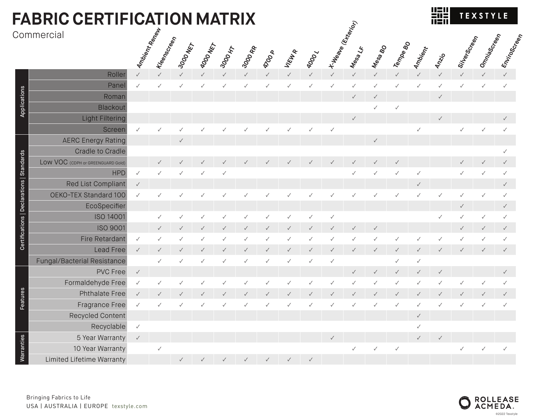| <b>FABRIC CERTIFICATION MATRIX</b> |               |              |              |                  |              |              |               |              |              |              |                                   |              |              |                | 쁣            |                                   | <b>TEXSTYLE</b> |              |
|------------------------------------|---------------|--------------|--------------|------------------|--------------|--------------|---------------|--------------|--------------|--------------|-----------------------------------|--------------|--------------|----------------|--------------|-----------------------------------|-----------------|--------------|
| Commercial                         | Ambient Renew | Kreenscheen  | 3000 NET     | <b>43000 MET</b> | 3000 HT      | 3000 RP      | <b>9200 A</b> | VIEWA        | <b>RDDD</b>  |              | <b>X Weape (Exp. )</b><br>Mesa LF | Messa BO     | Tempe 80     | <b>Ambient</b> | <b>Anzio</b> | Sitlergo<br><sup>Mergo</sup> reen | Omniascreen     | Enviroscreen |
| Roller                             | $\checkmark$  |              |              |                  |              | $\checkmark$ |               | $\checkmark$ |              |              | $\checkmark$                      | $\checkmark$ | $\checkmark$ |                |              |                                   |                 |              |
| Panel                              | $\checkmark$  |              |              |                  |              | ✓            |               | ✓            |              |              | $\checkmark$                      |              |              |                |              |                                   |                 |              |
| Roman                              |               |              |              |                  |              |              |               |              |              |              | $\checkmark$                      |              |              |                |              |                                   |                 |              |
| Blackout                           |               |              |              |                  |              |              |               |              |              |              |                                   |              | $\checkmark$ |                |              |                                   |                 |              |
| <b>Light Filtering</b>             |               |              |              |                  |              |              |               |              |              |              | $\checkmark$                      |              |              |                |              |                                   |                 |              |
| Screen                             | $\checkmark$  |              |              |                  |              |              |               |              |              |              |                                   |              |              |                |              |                                   |                 |              |
| <b>AERC Energy Rating</b>          |               |              | $\checkmark$ |                  |              |              |               |              |              |              |                                   | $\checkmark$ |              |                |              |                                   |                 |              |
| Cradle to Cradle                   |               |              |              |                  |              |              |               |              |              |              |                                   |              |              |                |              |                                   |                 |              |
| LOW VOC (CDPH or GREENGUARD Gold)  |               |              |              |                  |              |              |               |              |              |              |                                   |              |              |                |              |                                   |                 |              |
| <b>HPD</b>                         | $\checkmark$  |              |              |                  |              |              |               |              |              |              |                                   |              |              |                |              |                                   |                 |              |
| Red List Compliant                 | $\checkmark$  |              |              |                  |              |              |               |              |              |              |                                   |              |              |                |              |                                   |                 |              |
| OEKO-TEX Standard 100              | $\checkmark$  |              |              |                  |              |              |               |              |              |              |                                   |              |              |                |              |                                   |                 |              |
| EcoSpecifier                       |               |              |              |                  |              |              |               |              |              |              |                                   |              |              |                |              | ✓                                 |                 |              |
| <b>ISO 14001</b>                   |               |              |              |                  |              |              |               |              |              |              |                                   |              |              |                |              |                                   |                 |              |
| <b>ISO 9001</b>                    |               |              |              |                  |              |              |               |              |              |              |                                   |              |              |                |              |                                   |                 |              |
| Fire Retardant                     | $\checkmark$  |              |              |                  |              |              |               |              |              |              |                                   |              |              |                |              |                                   |                 |              |
| <b>Lead Free</b>                   | $\checkmark$  |              |              |                  |              |              |               |              |              |              | $\checkmark$                      |              |              |                |              |                                   |                 |              |
| Fungal/Bacterial Resistance        |               |              |              |                  |              |              |               |              |              |              |                                   |              | $\checkmark$ |                |              |                                   |                 |              |
| <b>PVC Free</b>                    | $\checkmark$  |              |              |                  |              |              |               |              |              |              | $\checkmark$                      | $\checkmark$ | $\checkmark$ |                |              |                                   |                 |              |
| Formaldehyde Free                  | $\checkmark$  |              |              |                  |              |              |               |              |              |              |                                   |              |              |                |              |                                   |                 |              |
| <b>Phthalate Free</b>              | $\checkmark$  |              |              |                  |              |              |               |              |              |              |                                   |              |              |                |              |                                   |                 |              |
| <b>Fragrance Free</b>              | $\checkmark$  | ✓            |              |                  | ✓            | ✓            | $\checkmark$  | ✓            | ✓            | ✓            | ✓                                 | $\checkmark$ | ✓            | $\checkmark$   | ✓            | ✓                                 |                 |              |
| Recycled Content                   |               |              |              |                  |              |              |               |              |              |              |                                   |              |              | $\checkmark$   |              |                                   |                 |              |
| Recyclable                         | $\checkmark$  |              |              |                  |              |              |               |              |              |              |                                   |              |              | $\checkmark$   |              |                                   |                 |              |
| 5 Year Warranty                    | $\checkmark$  |              |              |                  |              |              |               |              |              | $\checkmark$ |                                   |              |              | $\checkmark$   | $\checkmark$ |                                   |                 |              |
| 10 Year Warranty                   |               | $\checkmark$ |              |                  |              |              |               |              |              |              | $\checkmark$                      | $\checkmark$ | $\checkmark$ |                |              | ✓                                 |                 |              |
| Limited Lifetime Warranty          |               |              | $\checkmark$ | $\checkmark$     | $\checkmark$ | $\checkmark$ | $\checkmark$  | $\checkmark$ | $\checkmark$ |              |                                   |              |              |                |              |                                   |                 |              |

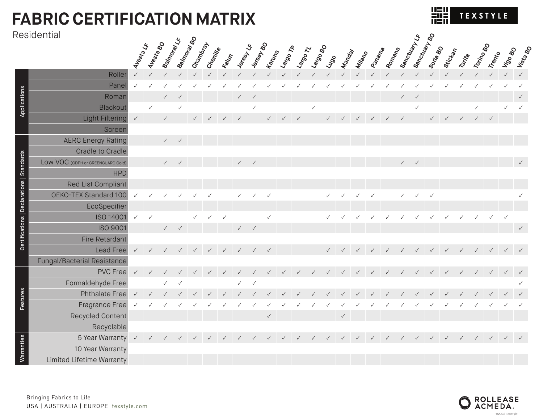## **FABRIC CERTIFICATION MATRIX**

### Residential

| TEXSTYLE<br>н<br>IШ |
|---------------------|
|---------------------|

**Sanctuary BO**

|                                           | <u>kesidentiai</u>                |              |                  |                    |                                    |           |          |        |                                    |                             |               |       |        |              |              |              |              |              |        |              |                                |              |              |              |              |              |              |              |
|-------------------------------------------|-----------------------------------|--------------|------------------|--------------------|------------------------------------|-----------|----------|--------|------------------------------------|-----------------------------|---------------|-------|--------|--------------|--------------|--------------|--------------|--------------|--------|--------------|--------------------------------|--------------|--------------|--------------|--------------|--------------|--------------|--------------|
|                                           |                                   | Avesta LF    | <b>Avesta BO</b> | <b>Balmoral LR</b> | <b>Balmoral BO</b>                 | Chambray. | Chenitle | Fallon | Jeresy LF                          | Jersey BO                   | <b>Kandon</b> | Lange | Landon | Largo BO     | Lugo         | Manday       | Milliano     | Pamama       | Romana |              | Sanctuary Like<br>Sanctuary Bo | Soria 80     | Sticketan    | Tarrita      | Torino 80    | Trento       | Vigo 80      | Vista Bo     |
|                                           | Roller                            |              |                  |                    |                                    |           |          |        |                                    |                             |               |       |        |              |              |              |              |              |        |              |                                |              |              |              |              |              |              |              |
| Applications                              | Panel                             |              |                  |                    |                                    |           |          |        |                                    |                             |               |       |        |              |              |              |              |              |        |              |                                |              |              |              |              |              |              |              |
|                                           | Roman                             |              |                  |                    |                                    |           |          |        | $\checkmark$                       | $\sqrt{ }$                  |               |       |        |              |              |              |              |              |        | $\checkmark$ | $\checkmark$                   |              |              |              |              |              |              |              |
|                                           | Blackout                          |              | $\checkmark$     |                    |                                    |           |          |        |                                    | $\checkmark$                |               |       |        | $\checkmark$ |              |              |              |              |        |              | $\checkmark$                   |              |              |              |              |              |              | $\checkmark$ |
|                                           | Light Filtering                   | $\checkmark$ |                  | $\checkmark$       |                                    |           |          |        |                                    |                             | $\checkmark$  |       |        |              |              |              |              |              |        | $\checkmark$ |                                |              |              |              |              |              |              |              |
|                                           | Screen                            |              |                  |                    |                                    |           |          |        |                                    |                             |               |       |        |              |              |              |              |              |        |              |                                |              |              |              |              |              |              |              |
| Certifications   Declarations   Standards | <b>AERC Energy Rating</b>         |              |                  |                    | $\checkmark$ $\qquad$ $\checkmark$ |           |          |        |                                    |                             |               |       |        |              |              |              |              |              |        |              |                                |              |              |              |              |              |              |              |
|                                           | <b>Cradle to Cradle</b>           |              |                  |                    |                                    |           |          |        |                                    |                             |               |       |        |              |              |              |              |              |        |              |                                |              |              |              |              |              |              |              |
|                                           | LOW VOC (CDPH or GREENGUARD Gold) |              |                  |                    | $\checkmark$ $\checkmark$          |           |          |        |                                    | $\checkmark$ / $\checkmark$ |               |       |        |              |              |              |              |              |        |              | $\checkmark$ $\checkmark$      |              |              |              |              |              |              |              |
|                                           | <b>HPD</b>                        |              |                  |                    |                                    |           |          |        |                                    |                             |               |       |        |              |              |              |              |              |        |              |                                |              |              |              |              |              |              |              |
|                                           | Red List Compliant                |              |                  |                    |                                    |           |          |        |                                    |                             |               |       |        |              |              |              |              |              |        |              |                                |              |              |              |              |              |              |              |
|                                           | OEKO-TEX Standard 100             | $\checkmark$ |                  |                    |                                    |           |          |        | $\checkmark$                       | $\checkmark$                | $\checkmark$  |       |        |              | $\checkmark$ | $\checkmark$ | $\checkmark$ | $\checkmark$ |        | $\checkmark$ | $\checkmark$                   | $\checkmark$ |              |              |              |              |              |              |
|                                           | EcoSpecifier                      |              |                  |                    |                                    |           |          |        |                                    |                             |               |       |        |              |              |              |              |              |        |              |                                |              |              |              |              |              |              |              |
|                                           | ISO 14001                         | $\checkmark$ | $\checkmark$     |                    |                                    |           |          |        |                                    |                             |               |       |        |              |              |              |              |              |        |              |                                |              |              |              |              |              |              |              |
|                                           | <b>ISO 9001</b>                   |              |                  | $\checkmark$       | $\checkmark$                       |           |          |        | $\checkmark$ $\qquad$ $\checkmark$ |                             |               |       |        |              |              |              |              |              |        |              |                                |              |              |              |              |              |              | $\checkmark$ |
|                                           | Fire Retardant                    |              |                  |                    |                                    |           |          |        |                                    |                             |               |       |        |              |              |              |              |              |        |              |                                |              |              |              |              |              |              |              |
|                                           | Lead Free                         | $\checkmark$ | $\checkmark$     |                    |                                    |           |          |        |                                    |                             | $\checkmark$  |       |        |              |              |              |              |              |        |              |                                |              | $\checkmark$ | $\checkmark$ | $\checkmark$ | $\checkmark$ |              |              |
|                                           | Fungal/Bacterial Resistance       |              |                  |                    |                                    |           |          |        |                                    |                             |               |       |        |              |              |              |              |              |        |              |                                |              |              |              |              |              |              |              |
| Features                                  | <b>PVC Free</b>                   | $\checkmark$ |                  |                    |                                    |           |          |        |                                    |                             |               |       |        |              |              |              |              |              |        |              |                                |              |              |              |              | $\checkmark$ | $\checkmark$ |              |
|                                           | Formaldehyde Free                 |              |                  |                    |                                    |           |          |        | $\checkmark$                       | $\checkmark$                |               |       |        |              |              |              |              |              |        |              |                                |              |              |              |              |              |              |              |
|                                           | <b>Phthalate Free</b>             | $\sqrt{ }$   |                  |                    |                                    |           |          |        |                                    |                             |               |       |        |              |              |              |              |              |        |              |                                |              |              |              |              |              |              |              |
|                                           | Fragrance Free                    |              |                  |                    |                                    |           |          |        |                                    |                             |               |       |        |              |              |              |              |              |        |              |                                |              |              |              |              |              |              |              |
|                                           | Recycled Content                  |              |                  |                    |                                    |           |          |        |                                    |                             | $\checkmark$  |       |        |              |              | $\checkmark$ |              |              |        |              |                                |              |              |              |              |              |              |              |
|                                           | Recyclable                        |              |                  |                    |                                    |           |          |        |                                    |                             |               |       |        |              |              |              |              |              |        |              |                                |              |              |              |              |              |              |              |
|                                           | 5 Year Warranty v                 |              |                  |                    |                                    |           |          |        |                                    |                             |               |       |        |              |              |              |              |              |        |              |                                |              |              |              |              | $\checkmark$ |              |              |
| <b>Marranties</b>                         | 10 Year Warranty                  |              |                  |                    |                                    |           |          |        |                                    |                             |               |       |        |              |              |              |              |              |        |              |                                |              |              |              |              |              |              |              |
|                                           | Limited Lifetime Warranty         |              |                  |                    |                                    |           |          |        |                                    |                             |               |       |        |              |              |              |              |              |        |              |                                |              |              |              |              |              |              |              |



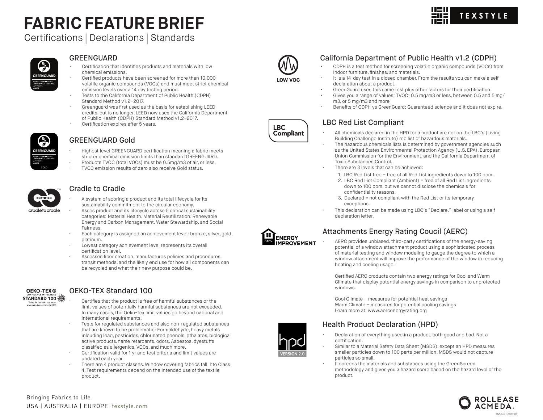# **FABRIC FEATURE BRIEF**

Certifications | Declarations | Standards

### P) *GREENGUARD* **CERTIFIED FOR**

#### GREENGUARD

- Certification that identifies products and materials with low chemical emissions.
- Certified products have been screened for more than 10,000 volatile organic compounds (VOCs) and must meet strict chemical emission levels over a 14 day testing period.
- Tests to the California Department of Public Health (CDPH) Standard Method v1.2–2017.
- Greenguard was first used as the basis for establishing LEED credits, but is no longer. LEED now uses the California Department of Public Health (CDPH) Standard Method v1.2–2017.
- Certification expires after 5 years.



#### GREENGUARD Gold

- Highest level GREENGUARD certification meaning a fabric meets stricter chemical emission limits than standard GREENGUARD.
- Products TVOC (total VOCs) must be 0.5mg/m3 of air, or less.
- TVOC emission results of zero also receive Gold status.

## **CERTIFIED**

cradletocradle

#### Cradle to Cradle

- A system of scoring a product and its total lifecycle for its sustainability commitment to the circular economy.
- Asses product and its lifecycle across 5 critical sustainability categories: Material Health, Material Reutilization, Renewable Energy and Carbon Management, Water Stewardship, and Social Fairness.
- Each category is assigned an achievement level: bronze, silver, gold, platinum.
- Lowest category achievement level represents its overall certification level.
- Assesses fiber creation, manufactures policies and procedures, transit methods, and the likely end use for how all components can be recycled and what their new purpose could be.



#### OEKO-TEX Standard 100

- Certifies that the product is free of harmful substances or the limit values of potentially harmful substances are not exceeded. In many cases, the Oeko-Tex limit values go beyond national and international requirements.
- Tests for regulated substances and also non-regulated substances that are known to be problematic: Formaldehyde, heavy metals inlcuding lead, pesticides, chlorinated phenols, pthalates, biological active products, flame retardants, odors, Asbestos, dyestuffs classified as allergenics, VOCs, and much more.
- Certification valid for 1 yr and test criteria and limit values are updated each year.
- There are 4 product classes. Window covering fabrics fall into Class 4. Test requirements depend on the intended use of the textile product.



**LOW VOC** 

**LBC Compliant** 

#### California Department of Public Health v1.2 (CDPH)

- CDPH is a test method for screening volatile organic compounds (VOCs) from indoor furniture, finishes, and materials.
- It is a 14-day test in a closed chamber. From the results you can make a self declaration about a product.
- GreenGuard uses this same test plus other factors for their certification.
- Gives you a range of values: TVOC: 0.5 mg/m3 or less, between 0.5 and 5 mg/ m3, or 5 mg/m3 and more
- Benefits of CDPH vs GreenGuard: Guaranteed science and it does not expire.

#### LBC Red List Compliant

- All chemicals declared in the HPD for a product are not on the LBC's (Living Building Challenge Institute) red list of hazardous materials.
- The hazardous chemicals lists is determined by government agencies such as the United States Environmental Protection Agency (U.S. EPA), European Union Commission for the Environment, and the California Department of Toxic Substances Control.
- There are 3 levels that can be achieved:
	- 1. LBC Red List free = free of all Red List ingredients down to 100 ppm.
	- 2. LBC Red List Compliant (Ambient) = free of all Red List ingredients down to 100 ppm, but we cannot disclose the chemicals for confidentiality reasons.
	- 3. Declared = not compliant with the Red List or its temporary exceptions.
- This declaration can be made using LBC's "Declare." label or using a self declaration letter.



#### Attachments Energy Rating Coucil (AERC)

• AERC provides unbiased, third-party certifications of the energy-saving potential of a window attachment product using a sophisticated process of material testing and window modeling to gauge the degree to which a window attachment will improve the performance of the window in reducing heating and cooling usage.

Certified AERC products contain two energy ratings for Cool and Warm Climate that display potential energy savings in comparison to unprotected windows.

Cool Climate – measures for potential heat savings Warm Climate – measures for potential cooling savings Learn more at: www.aercenergyrating.org

#### Health Product Declaration (HPD)

- 
- Declaration of everything used in a product, both good and bad. Not a certification.
- Similar to a Material Safety Data Sheet (MSDS), except an HPD measures smaller particles down to 100 parts per million. MSDS would not capture particles so small.
- It screens the materials and substances using the GreenScreen methodology and gives you a hazard score based on the hazard level of the product.